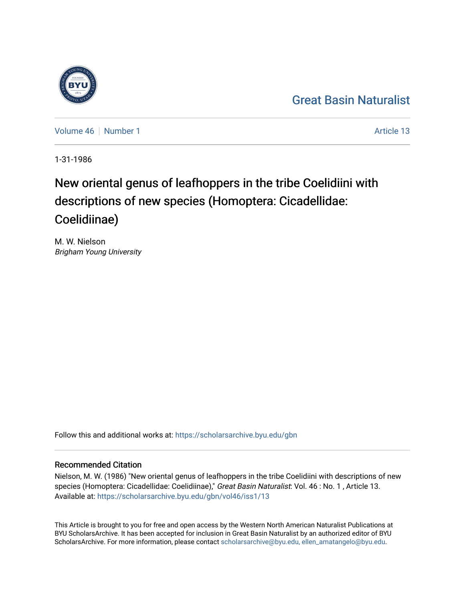## [Great Basin Naturalist](https://scholarsarchive.byu.edu/gbn)

[Volume 46](https://scholarsarchive.byu.edu/gbn/vol46) [Number 1](https://scholarsarchive.byu.edu/gbn/vol46/iss1) Article 13

1-31-1986

# New oriental genus of leafhoppers in the tribe Coelidiini with descriptions of new species (Homoptera: Cicadellidae: Coelidiinae)

M. W. Nielson Brigham Young University

Follow this and additional works at: [https://scholarsarchive.byu.edu/gbn](https://scholarsarchive.byu.edu/gbn?utm_source=scholarsarchive.byu.edu%2Fgbn%2Fvol46%2Fiss1%2F13&utm_medium=PDF&utm_campaign=PDFCoverPages) 

### Recommended Citation

Nielson, M. W. (1986) "New oriental genus of leafhoppers in the tribe Coelidiini with descriptions of new species (Homoptera: Cicadellidae: Coelidiinae)," Great Basin Naturalist: Vol. 46 : No. 1, Article 13. Available at: [https://scholarsarchive.byu.edu/gbn/vol46/iss1/13](https://scholarsarchive.byu.edu/gbn/vol46/iss1/13?utm_source=scholarsarchive.byu.edu%2Fgbn%2Fvol46%2Fiss1%2F13&utm_medium=PDF&utm_campaign=PDFCoverPages) 

This Article is brought to you for free and open access by the Western North American Naturalist Publications at BYU ScholarsArchive. It has been accepted for inclusion in Great Basin Naturalist by an authorized editor of BYU ScholarsArchive. For more information, please contact [scholarsarchive@byu.edu, ellen\\_amatangelo@byu.edu.](mailto:scholarsarchive@byu.edu,%20ellen_amatangelo@byu.edu)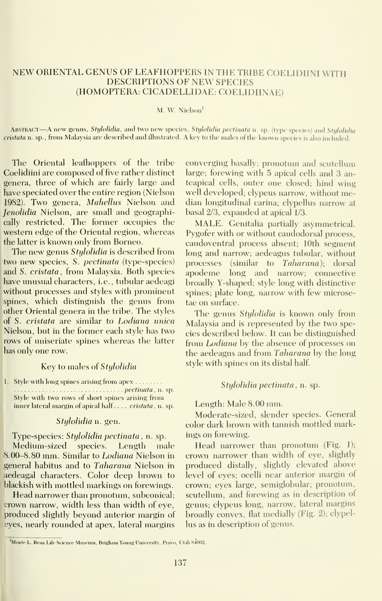#### NEW ORIENTAL GENUS OF LEAFHOPPERS IN THE TRIBE COELIDIINI WITH DESCRIPTIONS OF NEW SPECIES (HOMOPTERA: CICADELLIDAE: COELIDIINAE)

#### M. W. Nielson'

ABSTRACT—A new genus, Stylolidia, and two new species, Stylolidia pectinata n. sp. (type species) and Stylolidia cristata n. sp., from Malaysia are described and illustrated. A key to the males of the known species is also included.

The Oriental leafhoppers of the tribe Coehdiini are composed of five rather distinct genera, three of which are fairly large and have speciated over the entire region (Nielson 1982). Two genera, Mahellus Nielson and Jenolidia Nielson, are small and geographically restricted. The former occupies the western edge of the Oriental region, whereas the latter is known only from Borneo.

The new genus Stylolidia is described from two new species, S. pectinata (type-species) and S. cristata, from Malaysia. Both species have unusual characters, i.e., tubular aedeagi without processes and styles with prominent spines, which distinguish the genus from other Oriental genera in the tribe. The styles of S. cristata are similar to Lodiana unical Nielson, but in the former each style has two rows of uniseriate spines whereas the latter has only one row.

#### Key to males of *Stylolidia*

1. Style with long spines arising from apex . . . . . . . . . . . . . . . . . . . . . . . . . . *pectinata* , n. sp. Style with two rows of short spines arising from inner lateral margin of apical half.... cristata, n. sp.

#### Stylolidia n. gen.

Type-species: Stylolidia pectinata, n. sp. Medium-sized species. Length male 8.00-8.80 mm. Similar to Lodiana Nielson in general habitus and to Taharana Nielson in aedeagal characters. Color deep brown to blackish with mottled markings on forewings.

Head narrower than pronotum, subconical; crown narrow, width less than width of eye, produced slightly beyond anterior margin of eyes, nearly rounded at apex, lateral margins converging basally; pronotum and scutellum large; forewing with 5 apical cells and 3 anteapical cells, outer one closed; hind wing well developed; clypeus narrow, without median longitudinal carina; clypellus narrow at basal 2/3, expanded at apical 1/3.

MALE. Genitalia partially asymmetrical. Pygofer with or without caudodorsal process, caudoventral process absent; 10th segment long and narrow; aedeagus tubular, without processes (similar to Taharana); dorsal apodeme long and narrow; connective broadly Y-shaped; style long with distinctive spines; plate long, narrow with few microsetae on surface.

The genus Stylolidia is known only from Malaysia and is represented by the two species described below. It can be distinguished from *Lodiana* by the absence of processes on the aedeagus and from Taharana by the long style with spines on its distal half

#### Stulolidia pectinata, n. sp.

#### Length: Male 8.00 mm.

Moderate-sized, slender species. General color dark brown with tannish mottled markings on forewing.

Head narrower than pronotum (Fig. 1); crown narrower than width of eye, slightly produced distally, slightly elevated above level of eyes; ocelli near anterior margin of crown; eyes large, semiglobular; pronotum, scutellum, and forewing as in description of genus; clypeus long, narrow, lateral margins broadly convex, flat medially (Fig. 2); clypellus as in description of genus.

<sup>&</sup>lt;sup>1</sup>Monte L. Bean Life Science Museum, Brigham Young University, Provo, Utah 84602.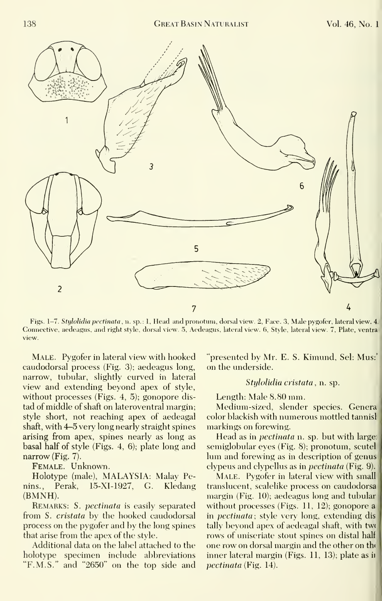

Figs. 1-7. Stylolidia pectinata, n. sp.: 1, Head and pronotum, dorsal view. 2, Face. 3, Male pygofer, lateral view. 4. Connective, aedeagus, and right style, dorsal view. 5, Aedeagus, lateral view. 6, Style, lateral view. 7, Plate, ventra\* view.

Male. Pygofer in lateral view with hooked caudodorsal process (Fig. 3); aedeagus long, narrow, tubular, slightly curved in lateral view and extending beyond apex of style, without processes (Figs. 4, 5); gonopore dis tad of middle of shaft on lateroventral margin; style short, not reaching apex of aedeagal shaft, with 4-5 very long nearly straight spines arising from apex, spines nearly as long as basal half of style (Figs. 4, 6); plate long and narrow (Fig. 7).

Female. Unknown.

Holotype (male), MALAYSIA: Malay Penins., Perak, 15-XI-1927, G. Kledang (BMNH).

REMARKS: S. *pectinata* is easily separated from S. cristata by the hooked caudodorsal process on the pygofer and by the long spines that arise from the apex of the style.

Additional data on the label attached to the holotype specimen include abbreviations "F.M.S." and "2650" on the top side and "presented by Mr. E. S. Kimund, Sel: Mus:' on the underside.

#### Stylolidia cristata, n. sp.

Length: Male 8.80 mm.

Medium-sized, slender species. Genera color blackish with numerous mottled tannisl markings on forewing.

Head as in *pectinata* n. sp. but with large: semiglobular eyes (Fig. 8); pronotum, scutel lum and forewing as in description of genus clypeus and clypellus as in pectinata (Fig. 9).

Male. Pygofer in lateral view with small translucent, scalelike process on caudodorsa margin (Fig. 10); aedeagus long and tubular without processes (Figs. 11, 12); gonopore a in pectinata; style very long, extending dis tally beyond apex of aedeagal shaft, with two rows of uniseriate stout spines on distal half one row on dorsal margin and the other on th( inner lateral margin (Figs. 11, 13); plate as ii pectinata (Fig. 14).